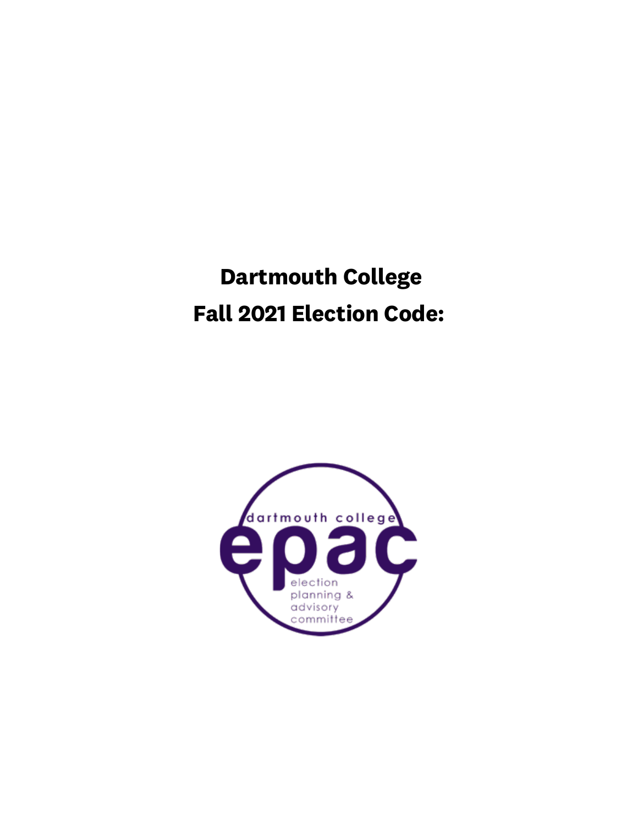# **Dartmouth College Fall 2021 Election Code:**

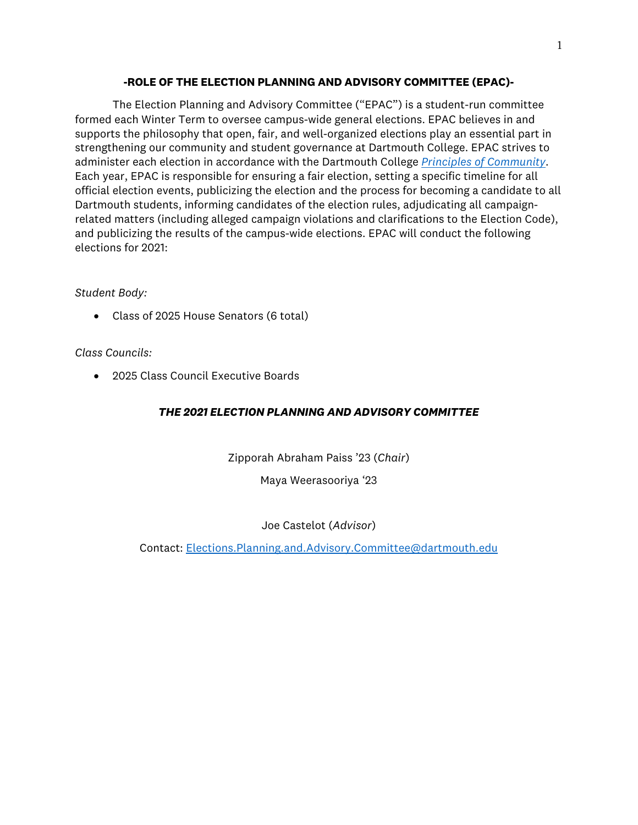#### **-ROLE OF THE ELECTION PLANNING AND ADVISORY COMMITTEE (EPAC)-**

The Election Planning and Advisory Committee ("EPAC") is a student-run committee formed each Winter Term to oversee campus-wide general elections. EPAC believes in and supports the philosophy that open, fair, and well-organized elections play an essential part in strengthening our community and student governance at Dartmouth College. EPAC strives to administer each election in accordance with the Dartmouth College *Principles of Community*. Each year, EPAC is responsible for ensuring a fair election, setting a specific timeline for all official election events, publicizing the election and the process for becoming a candidate to all Dartmouth students, informing candidates of the election rules, adjudicating all campaignrelated matters (including alleged campaign violations and clarifications to the Election Code), and publicizing the results of the campus-wide elections. EPAC will conduct the following elections for 2021:

## *Student Body:*

• Class of 2025 House Senators (6 total)

*Class Councils:*

• 2025 Class Council Executive Boards

## *THE 2021 ELECTION PLANNING AND ADVISORY COMMITTEE*

Zipporah Abraham Paiss '23 (*Chair*)

Maya Weerasooriya '23

Joe Castelot (*Advisor*)

Contact: Elections.Planning.and.Advisory.Committee@dartmouth.edu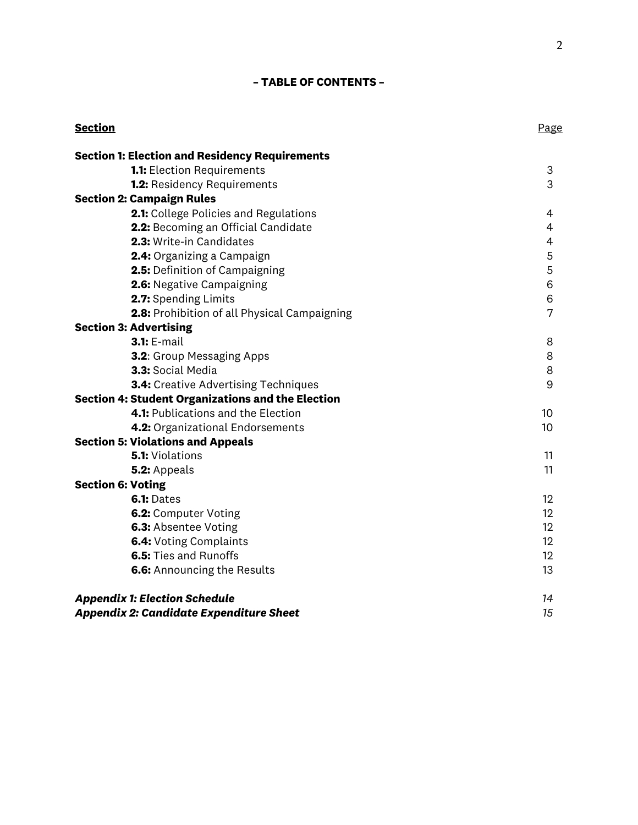## **– TABLE OF CONTENTS –**

| <b>Section</b>                                           | Page            |  |
|----------------------------------------------------------|-----------------|--|
| <b>Section 1: Election and Residency Requirements</b>    |                 |  |
| <b>1.1:</b> Election Requirements                        | 3               |  |
| <b>1.2: Residency Requirements</b>                       | 3               |  |
| <b>Section 2: Campaign Rules</b>                         |                 |  |
| 2.1: College Policies and Regulations                    | 4               |  |
| 2.2: Becoming an Official Candidate                      | 4               |  |
| 2.3: Write-in Candidates                                 | 4               |  |
| 2.4: Organizing a Campaign                               | 5               |  |
| 2.5: Definition of Campaigning                           | 5               |  |
| 2.6: Negative Campaigning                                | 6               |  |
| 2.7: Spending Limits                                     | 6               |  |
| 2.8: Prohibition of all Physical Campaigning             | 7               |  |
| <b>Section 3: Advertising</b>                            |                 |  |
| <b>3.1:</b> E-mail                                       | 8               |  |
| 3.2: Group Messaging Apps                                | 8               |  |
| 3.3: Social Media                                        | 8               |  |
| 3.4: Creative Advertising Techniques                     | 9               |  |
| <b>Section 4: Student Organizations and the Election</b> |                 |  |
| <b>4.1:</b> Publications and the Election                | 10 <sup>°</sup> |  |
| 4.2: Organizational Endorsements                         | 10              |  |
| <b>Section 5: Violations and Appeals</b>                 |                 |  |
| <b>5.1:</b> Violations                                   | 11              |  |
| 5.2: Appeals                                             | 11              |  |
| <b>Section 6: Voting</b>                                 |                 |  |
| <b>6.1: Dates</b>                                        | 12 <sup>°</sup> |  |
| 6.2: Computer Voting                                     | 12 <sup>°</sup> |  |
| 6.3: Absentee Voting                                     | 12 <sup>°</sup> |  |
| <b>6.4:</b> Voting Complaints                            | 12              |  |
| <b>6.5:</b> Ties and Runoffs                             | 12 <sup>°</sup> |  |
| 6.6: Announcing the Results                              | 13              |  |
| <b>Appendix 1: Election Schedule</b>                     | 14              |  |
| <b>Appendix 2: Candidate Expenditure Sheet</b>           |                 |  |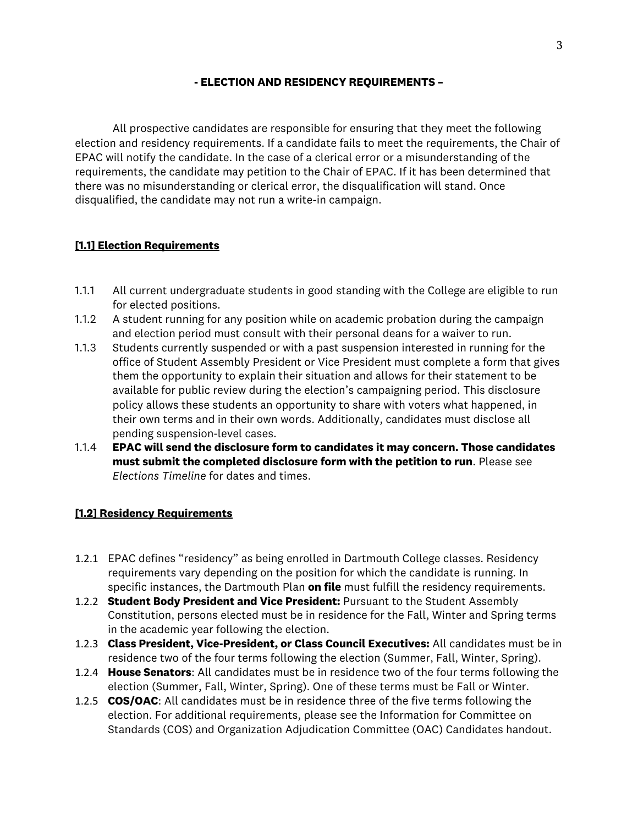#### **- ELECTION AND RESIDENCY REQUIREMENTS –**

All prospective candidates are responsible for ensuring that they meet the following election and residency requirements. If a candidate fails to meet the requirements, the Chair of EPAC will notify the candidate. In the case of a clerical error or a misunderstanding of the requirements, the candidate may petition to the Chair of EPAC. If it has been determined that there was no misunderstanding or clerical error, the disqualification will stand. Once disqualified, the candidate may not run a write-in campaign.

## **[1.1] Election Requirements**

- 1.1.1 All current undergraduate students in good standing with the College are eligible to run for elected positions.
- 1.1.2 A student running for any position while on academic probation during the campaign and election period must consult with their personal deans for a waiver to run.
- 1.1.3 Students currently suspended or with a past suspension interested in running for the office of Student Assembly President or Vice President must complete a form that gives them the opportunity to explain their situation and allows for their statement to be available for public review during the election's campaigning period. This disclosure policy allows these students an opportunity to share with voters what happened, in their own terms and in their own words. Additionally, candidates must disclose all pending suspension-level cases.
- 1.1.4 **EPAC will send the disclosure form to candidates it may concern. Those candidates must submit the completed disclosure form with the petition to run**. Please see *Elections Timeline* for dates and times.

## **[1.2] Residency Requirements**

- 1.2.1 EPAC defines "residency" as being enrolled in Dartmouth College classes. Residency requirements vary depending on the position for which the candidate is running. In specific instances, the Dartmouth Plan **on file** must fulfill the residency requirements.
- 1.2.2 **Student Body President and Vice President:** Pursuant to the Student Assembly Constitution, persons elected must be in residence for the Fall, Winter and Spring terms in the academic year following the election.
- 1.2.3 **Class President, Vice-President, or Class Council Executives:** All candidates must be in residence two of the four terms following the election (Summer, Fall, Winter, Spring).
- 1.2.4 **House Senators**: All candidates must be in residence two of the four terms following the election (Summer, Fall, Winter, Spring). One of these terms must be Fall or Winter.
- 1.2.5 **COS/OAC**: All candidates must be in residence three of the five terms following the election. For additional requirements, please see the Information for Committee on Standards (COS) and Organization Adjudication Committee (OAC) Candidates handout.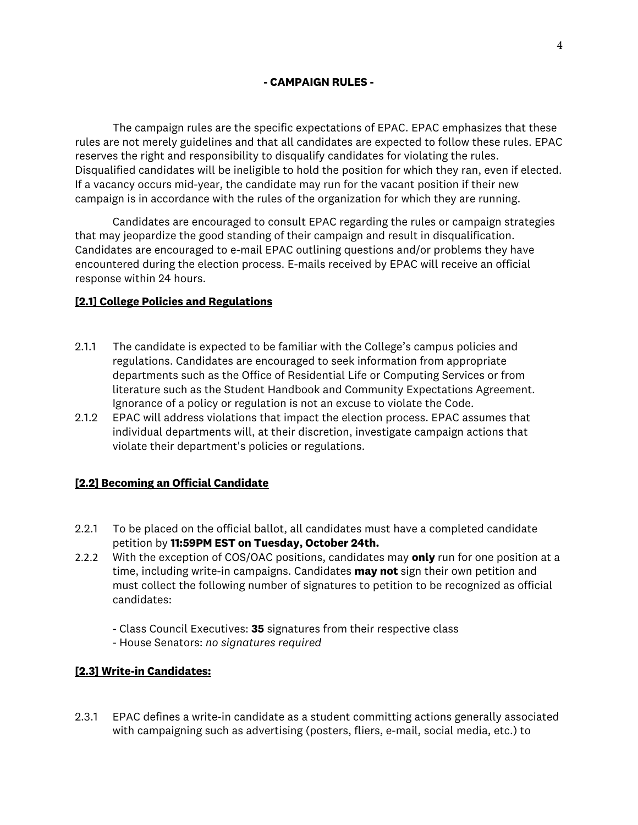#### **- CAMPAIGN RULES -**

The campaign rules are the specific expectations of EPAC. EPAC emphasizes that these rules are not merely guidelines and that all candidates are expected to follow these rules. EPAC reserves the right and responsibility to disqualify candidates for violating the rules. Disqualified candidates will be ineligible to hold the position for which they ran, even if elected. If a vacancy occurs mid-year, the candidate may run for the vacant position if their new campaign is in accordance with the rules of the organization for which they are running.

Candidates are encouraged to consult EPAC regarding the rules or campaign strategies that may jeopardize the good standing of their campaign and result in disqualification. Candidates are encouraged to e-mail EPAC outlining questions and/or problems they have encountered during the election process. E-mails received by EPAC will receive an official response within 24 hours.

## **[2.1] College Policies and Regulations**

- 2.1.1 The candidate is expected to be familiar with the College's campus policies and regulations. Candidates are encouraged to seek information from appropriate departments such as the Office of Residential Life or Computing Services or from literature such as the Student Handbook and Community Expectations Agreement. Ignorance of a policy or regulation is not an excuse to violate the Code.
- 2.1.2 EPAC will address violations that impact the election process. EPAC assumes that individual departments will, at their discretion, investigate campaign actions that violate their department's policies or regulations.

## **[2.2] Becoming an Official Candidate**

- 2.2.1 To be placed on the official ballot, all candidates must have a completed candidate petition by **11:59PM EST on Tuesday, October 24th.**
- 2.2.2 With the exception of COS/OAC positions, candidates may **only** run for one position at a time, including write-in campaigns. Candidates **may not** sign their own petition and must collect the following number of signatures to petition to be recognized as official candidates:
	- Class Council Executives: **35** signatures from their respective class
	- House Senators: *no signatures required*

## **[2.3] Write-in Candidates:**

2.3.1 EPAC defines a write-in candidate as a student committing actions generally associated with campaigning such as advertising (posters, fliers, e-mail, social media, etc.) to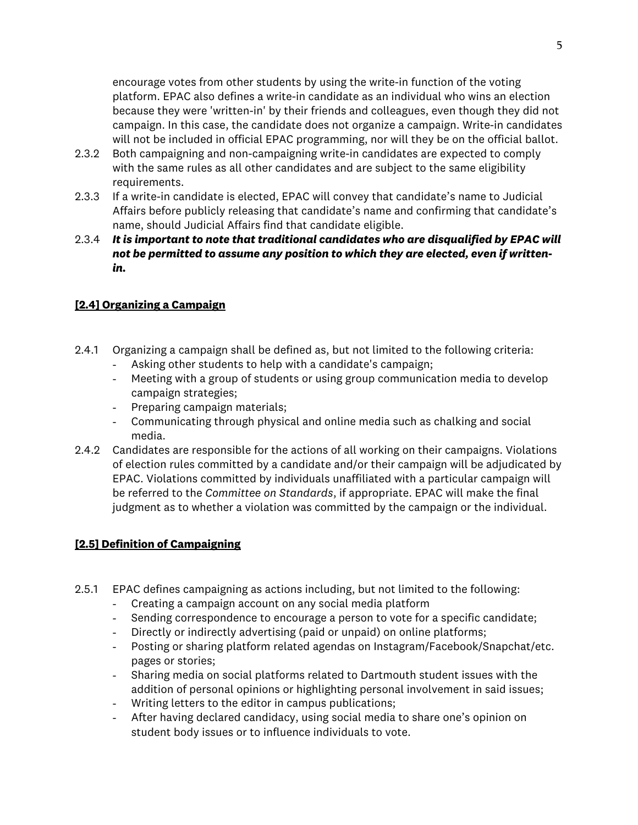encourage votes from other students by using the write-in function of the voting platform. EPAC also defines a write-in candidate as an individual who wins an election because they were 'written-in' by their friends and colleagues, even though they did not campaign. In this case, the candidate does not organize a campaign. Write-in candidates will not be included in official EPAC programming, nor will they be on the official ballot.

- 2.3.2 Both campaigning and non-campaigning write-in candidates are expected to comply with the same rules as all other candidates and are subject to the same eligibility requirements.
- 2.3.3 If a write-in candidate is elected, EPAC will convey that candidate's name to Judicial Affairs before publicly releasing that candidate's name and confirming that candidate's name, should Judicial Affairs find that candidate eligible.
- 2.3.4 *It is important to note that traditional candidates who are disqualified by EPAC will not be permitted to assume any position to which they are elected, even if writtenin.*

## **[2.4] Organizing a Campaign**

- 2.4.1 Organizing a campaign shall be defined as, but not limited to the following criteria:
	- Asking other students to help with a candidate's campaign;
	- Meeting with a group of students or using group communication media to develop campaign strategies;
	- Preparing campaign materials;
	- Communicating through physical and online media such as chalking and social media.
- 2.4.2 Candidates are responsible for the actions of all working on their campaigns. Violations of election rules committed by a candidate and/or their campaign will be adjudicated by EPAC. Violations committed by individuals unaffiliated with a particular campaign will be referred to the *Committee on Standards*, if appropriate. EPAC will make the final judgment as to whether a violation was committed by the campaign or the individual.

## **[2.5] Definition of Campaigning**

- 2.5.1 EPAC defines campaigning as actions including, but not limited to the following:
	- Creating a campaign account on any social media platform
	- Sending correspondence to encourage a person to vote for a specific candidate;
	- Directly or indirectly advertising (paid or unpaid) on online platforms;
	- Posting or sharing platform related agendas on Instagram/Facebook/Snapchat/etc. pages or stories;
	- Sharing media on social platforms related to Dartmouth student issues with the addition of personal opinions or highlighting personal involvement in said issues;
	- Writing letters to the editor in campus publications;
	- After having declared candidacy, using social media to share one's opinion on student body issues or to influence individuals to vote.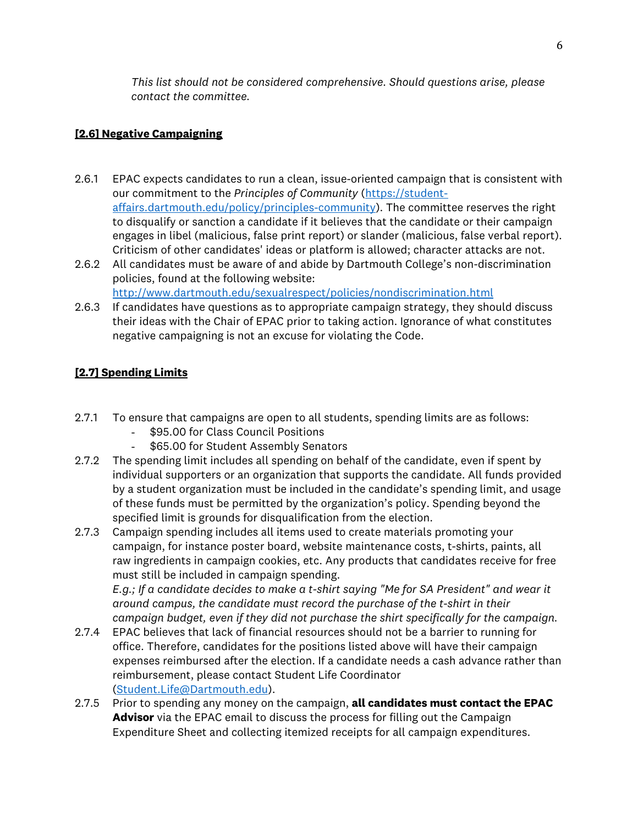*This list should not be considered comprehensive. Should questions arise, please contact the committee.*

## **[2.6] Negative Campaigning**

- 2.6.1 EPAC expects candidates to run a clean, issue-oriented campaign that is consistent with our commitment to the *Principles of Community* (https://studentaffairs.dartmouth.edu/policy/principles-community). The committee reserves the right to disqualify or sanction a candidate if it believes that the candidate or their campaign engages in libel (malicious, false print report) or slander (malicious, false verbal report). Criticism of other candidates' ideas or platform is allowed; character attacks are not.
- 2.6.2 All candidates must be aware of and abide by Dartmouth College's non-discrimination policies, found at the following website:

http://www.dartmouth.edu/sexualrespect/policies/nondiscrimination.html

2.6.3 If candidates have questions as to appropriate campaign strategy, they should discuss their ideas with the Chair of EPAC prior to taking action. Ignorance of what constitutes negative campaigning is not an excuse for violating the Code.

## **[2.7] Spending Limits**

- 2.7.1 To ensure that campaigns are open to all students, spending limits are as follows:
	- \$95.00 for Class Council Positions
	- \$65.00 for Student Assembly Senators
- 2.7.2 The spending limit includes all spending on behalf of the candidate, even if spent by individual supporters or an organization that supports the candidate. All funds provided by a student organization must be included in the candidate's spending limit, and usage of these funds must be permitted by the organization's policy. Spending beyond the specified limit is grounds for disqualification from the election.
- 2.7.3 Campaign spending includes all items used to create materials promoting your campaign, for instance poster board, website maintenance costs, t-shirts, paints, all raw ingredients in campaign cookies, etc. Any products that candidates receive for free must still be included in campaign spending.

*E.g.; If a candidate decides to make a t-shirt saying "Me for SA President" and wear it around campus, the candidate must record the purchase of the t-shirt in their campaign budget, even if they did not purchase the shirt specifically for the campaign.*

- 2.7.4 EPAC believes that lack of financial resources should not be a barrier to running for office. Therefore, candidates for the positions listed above will have their campaign expenses reimbursed after the election. If a candidate needs a cash advance rather than reimbursement, please contact Student Life Coordinator (Student.Life@Dartmouth.edu).
- 2.7.5 Prior to spending any money on the campaign, **all candidates must contact the EPAC Advisor** via the EPAC email to discuss the process for filling out the Campaign Expenditure Sheet and collecting itemized receipts for all campaign expenditures.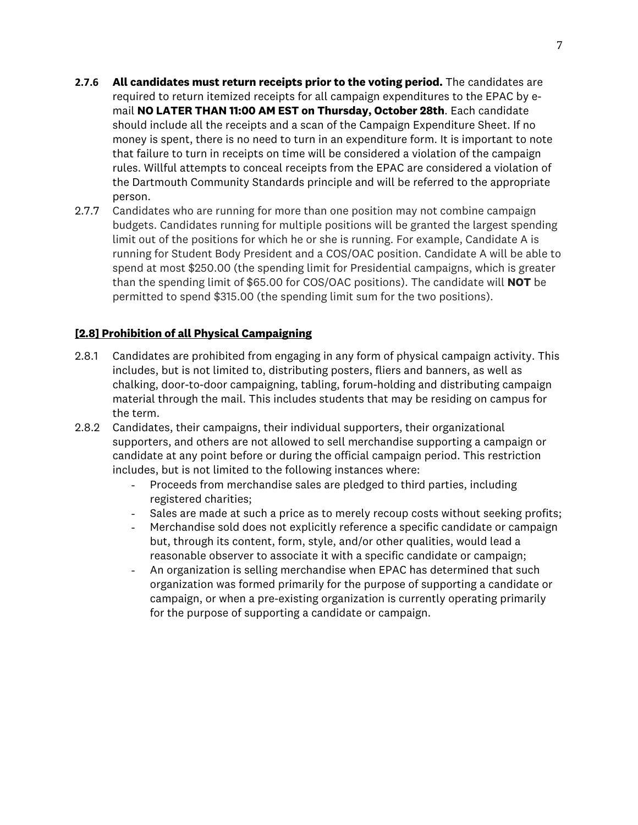- **2.7.6 All candidates must return receipts prior to the voting period.** The candidates are required to return itemized receipts for all campaign expenditures to the EPAC by email **NO LATER THAN 11:00 AM EST on Thursday, October 28th**. Each candidate should include all the receipts and a scan of the Campaign Expenditure Sheet. If no money is spent, there is no need to turn in an expenditure form. It is important to note that failure to turn in receipts on time will be considered a violation of the campaign rules. Willful attempts to conceal receipts from the EPAC are considered a violation of the Dartmouth Community Standards principle and will be referred to the appropriate person.
- 2.7.7 Candidates who are running for more than one position may not combine campaign budgets. Candidates running for multiple positions will be granted the largest spending limit out of the positions for which he or she is running. For example, Candidate A is running for Student Body President and a COS/OAC position. Candidate A will be able to spend at most \$250.00 (the spending limit for Presidential campaigns, which is greater than the spending limit of \$65.00 for COS/OAC positions). The candidate will **NOT** be permitted to spend \$315.00 (the spending limit sum for the two positions).

#### **[2.8] Prohibition of all Physical Campaigning**

- 2.8.1 Candidates are prohibited from engaging in any form of physical campaign activity. This includes, but is not limited to, distributing posters, fliers and banners, as well as chalking, door-to-door campaigning, tabling, forum-holding and distributing campaign material through the mail. This includes students that may be residing on campus for the term.
- 2.8.2 Candidates, their campaigns, their individual supporters, their organizational supporters, and others are not allowed to sell merchandise supporting a campaign or candidate at any point before or during the official campaign period. This restriction includes, but is not limited to the following instances where:
	- Proceeds from merchandise sales are pledged to third parties, including registered charities;
	- Sales are made at such a price as to merely recoup costs without seeking profits;
	- Merchandise sold does not explicitly reference a specific candidate or campaign but, through its content, form, style, and/or other qualities, would lead a reasonable observer to associate it with a specific candidate or campaign;
	- An organization is selling merchandise when EPAC has determined that such organization was formed primarily for the purpose of supporting a candidate or campaign, or when a pre-existing organization is currently operating primarily for the purpose of supporting a candidate or campaign.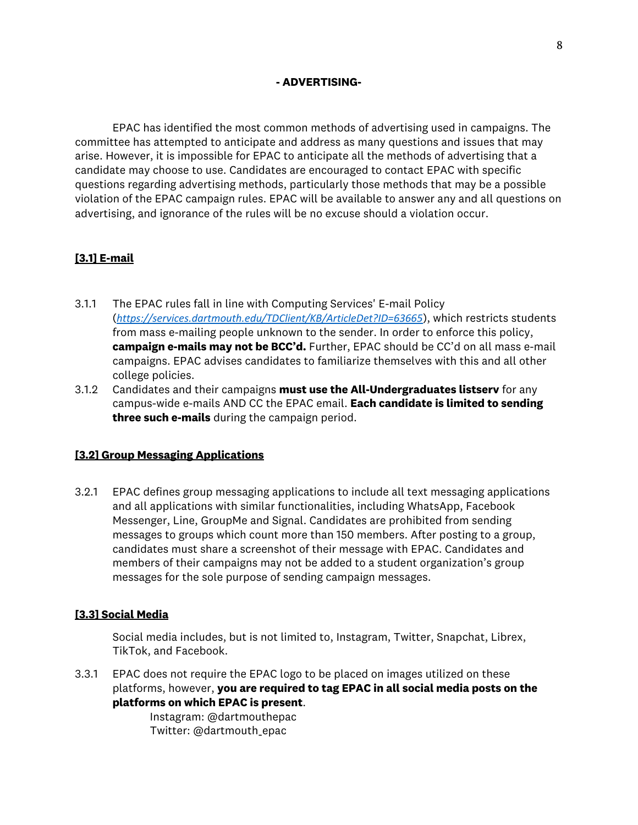#### **- ADVERTISING-**

EPAC has identified the most common methods of advertising used in campaigns. The committee has attempted to anticipate and address as many questions and issues that may arise. However, it is impossible for EPAC to anticipate all the methods of advertising that a candidate may choose to use. Candidates are encouraged to contact EPAC with specific questions regarding advertising methods, particularly those methods that may be a possible violation of the EPAC campaign rules. EPAC will be available to answer any and all questions on advertising, and ignorance of the rules will be no excuse should a violation occur.

## **[3.1] E-mail**

- 3.1.1 The EPAC rules fall in line with Computing Services' E-mail Policy (*https://services.dartmouth.edu/TDClient/KB/ArticleDet?ID=63665*), which restricts students from mass e-mailing people unknown to the sender. In order to enforce this policy, **campaign e-mails may not be BCC'd.** Further, EPAC should be CC'd on all mass e-mail campaigns. EPAC advises candidates to familiarize themselves with this and all other college policies.
- 3.1.2 Candidates and their campaigns **must use the All-Undergraduates listserv** for any campus-wide e-mails AND CC the EPAC email. **Each candidate is limited to sending three such e-mails** during the campaign period.

#### **[3.2] Group Messaging Applications**

3.2.1 EPAC defines group messaging applications to include all text messaging applications and all applications with similar functionalities, including WhatsApp, Facebook Messenger, Line, GroupMe and Signal. Candidates are prohibited from sending messages to groups which count more than 150 members. After posting to a group, candidates must share a screenshot of their message with EPAC. Candidates and members of their campaigns may not be added to a student organization's group messages for the sole purpose of sending campaign messages.

#### **[3.3] Social Media**

Social media includes, but is not limited to, Instagram, Twitter, Snapchat, Librex, TikTok, and Facebook.

3.3.1 EPAC does not require the EPAC logo to be placed on images utilized on these platforms, however, **you are required to tag EPAC in all social media posts on the platforms on which EPAC is present**.

Instagram: @dartmouthepac Twitter: @dartmouth\_epac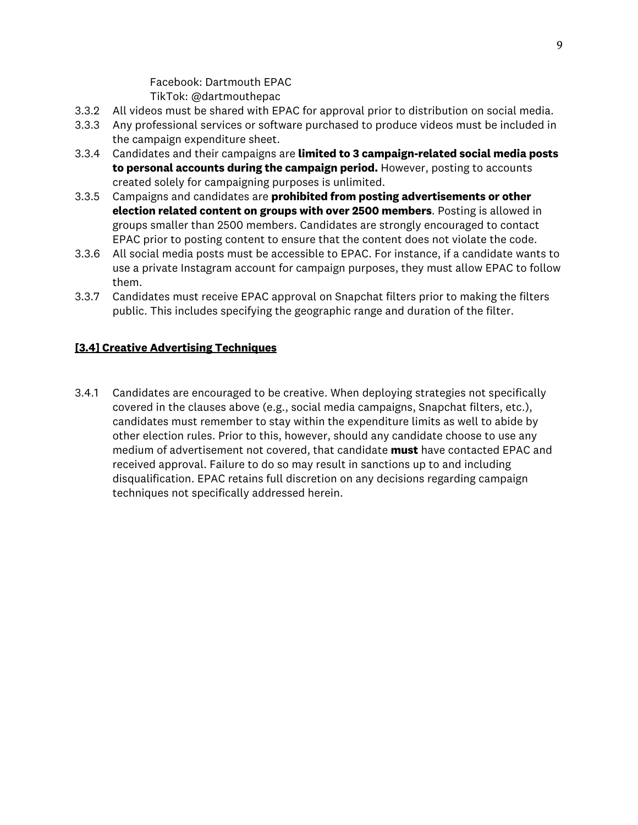Facebook: Dartmouth EPAC TikTok: @dartmouthepac

- 3.3.2 All videos must be shared with EPAC for approval prior to distribution on social media.
- 3.3.3 Any professional services or software purchased to produce videos must be included in the campaign expenditure sheet.
- 3.3.4 Candidates and their campaigns are **limited to 3 campaign-related social media posts to personal accounts during the campaign period.** However, posting to accounts created solely for campaigning purposes is unlimited.
- 3.3.5 Campaigns and candidates are **prohibited from posting advertisements or other election related content on groups with over 2500 members**. Posting is allowed in groups smaller than 2500 members. Candidates are strongly encouraged to contact EPAC prior to posting content to ensure that the content does not violate the code.
- 3.3.6 All social media posts must be accessible to EPAC. For instance, if a candidate wants to use a private Instagram account for campaign purposes, they must allow EPAC to follow them.
- 3.3.7 Candidates must receive EPAC approval on Snapchat filters prior to making the filters public. This includes specifying the geographic range and duration of the filter.

## **[3.4] Creative Advertising Techniques**

3.4.1 Candidates are encouraged to be creative. When deploying strategies not specifically covered in the clauses above (e.g., social media campaigns, Snapchat filters, etc.), candidates must remember to stay within the expenditure limits as well to abide by other election rules. Prior to this, however, should any candidate choose to use any medium of advertisement not covered, that candidate **must** have contacted EPAC and received approval. Failure to do so may result in sanctions up to and including disqualification. EPAC retains full discretion on any decisions regarding campaign techniques not specifically addressed herein.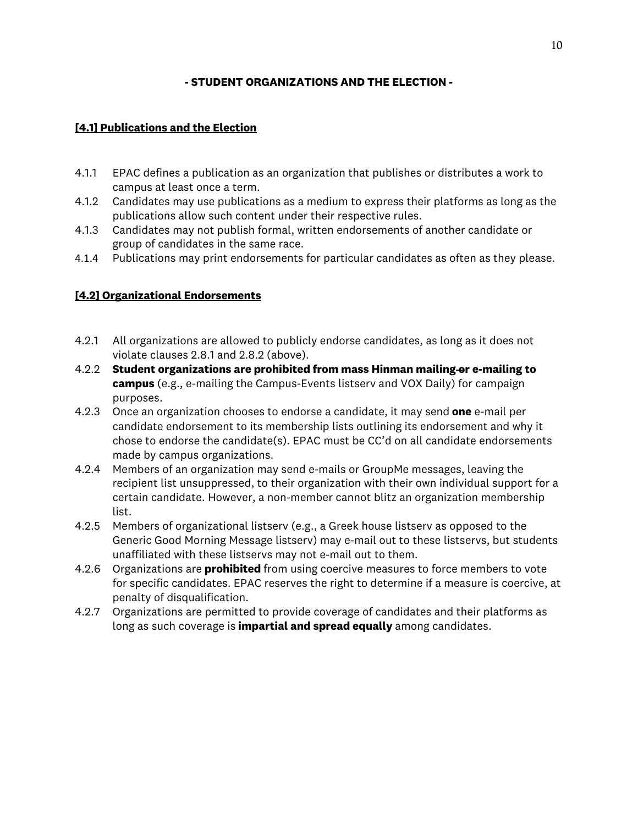## **- STUDENT ORGANIZATIONS AND THE ELECTION -**

## **[4.1] Publications and the Election**

- 4.1.1 EPAC defines a publication as an organization that publishes or distributes a work to campus at least once a term.
- 4.1.2 Candidates may use publications as a medium to express their platforms as long as the publications allow such content under their respective rules.
- 4.1.3 Candidates may not publish formal, written endorsements of another candidate or group of candidates in the same race.
- 4.1.4 Publications may print endorsements for particular candidates as often as they please.

## **[4.2] Organizational Endorsements**

- 4.2.1 All organizations are allowed to publicly endorse candidates, as long as it does not violate clauses 2.8.1 and 2.8.2 (above).
- 4.2.2 **Student organizations are prohibited from mass Hinman mailing or e-mailing to campus** (e.g., e-mailing the Campus-Events listserv and VOX Daily) for campaign purposes.
- 4.2.3 Once an organization chooses to endorse a candidate, it may send **one** e-mail per candidate endorsement to its membership lists outlining its endorsement and why it chose to endorse the candidate(s). EPAC must be CC'd on all candidate endorsements made by campus organizations.
- 4.2.4 Members of an organization may send e-mails or GroupMe messages, leaving the recipient list unsuppressed, to their organization with their own individual support for a certain candidate. However, a non-member cannot blitz an organization membership list.
- 4.2.5 Members of organizational listserv (e.g., a Greek house listserv as opposed to the Generic Good Morning Message listserv) may e-mail out to these listservs, but students unaffiliated with these listservs may not e-mail out to them.
- 4.2.6 Organizations are **prohibited** from using coercive measures to force members to vote for specific candidates. EPAC reserves the right to determine if a measure is coercive, at penalty of disqualification.
- 4.2.7 Organizations are permitted to provide coverage of candidates and their platforms as long as such coverage is **impartial and spread equally** among candidates.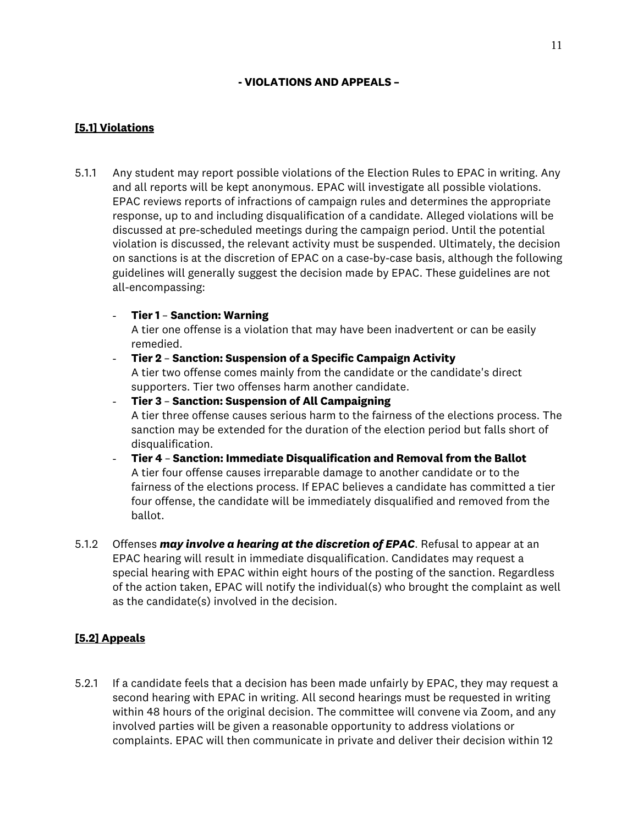#### **- VIOLATIONS AND APPEALS –**

## **[5.1] Violations**

5.1.1 Any student may report possible violations of the Election Rules to EPAC in writing. Any and all reports will be kept anonymous. EPAC will investigate all possible violations. EPAC reviews reports of infractions of campaign rules and determines the appropriate response, up to and including disqualification of a candidate. Alleged violations will be discussed at pre-scheduled meetings during the campaign period. Until the potential violation is discussed, the relevant activity must be suspended. Ultimately, the decision on sanctions is at the discretion of EPAC on a case-by-case basis, although the following guidelines will generally suggest the decision made by EPAC. These guidelines are not all-encompassing:

#### - **Tier 1** – **Sanction: Warning**

A tier one offense is a violation that may have been inadvertent or can be easily remedied.

#### - **Tier 2** – **Sanction: Suspension of a Specific Campaign Activity**

A tier two offense comes mainly from the candidate or the candidate's direct supporters. Tier two offenses harm another candidate.

## - **Tier 3** – **Sanction: Suspension of All Campaigning**

A tier three offense causes serious harm to the fairness of the elections process. The sanction may be extended for the duration of the election period but falls short of disqualification.

- **Tier 4 Sanction: Immediate Disqualification and Removal from the Ballot** A tier four offense causes irreparable damage to another candidate or to the fairness of the elections process. If EPAC believes a candidate has committed a tier four offense, the candidate will be immediately disqualified and removed from the ballot.
- 5.1.2 Offenses *may involve a hearing at the discretion of EPAC*. Refusal to appear at an EPAC hearing will result in immediate disqualification. Candidates may request a special hearing with EPAC within eight hours of the posting of the sanction. Regardless of the action taken, EPAC will notify the individual(s) who brought the complaint as well as the candidate(s) involved in the decision.

## **[5.2] Appeals**

5.2.1 If a candidate feels that a decision has been made unfairly by EPAC, they may request a second hearing with EPAC in writing. All second hearings must be requested in writing within 48 hours of the original decision. The committee will convene via Zoom, and any involved parties will be given a reasonable opportunity to address violations or complaints. EPAC will then communicate in private and deliver their decision within 12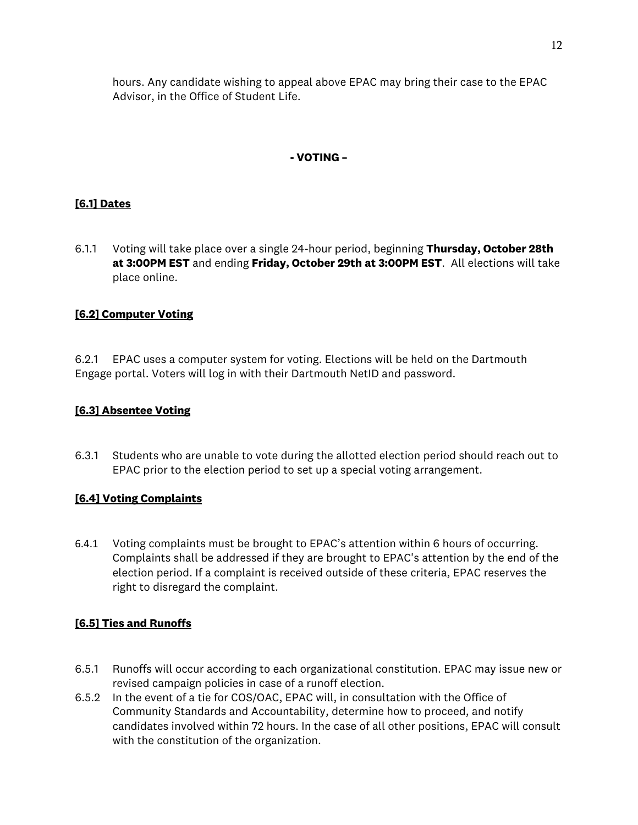hours. Any candidate wishing to appeal above EPAC may bring their case to the EPAC Advisor, in the Office of Student Life.

## **- VOTING –**

## **[6.1] Dates**

6.1.1 Voting will take place over a single 24-hour period, beginning **Thursday, October 28th at 3:00PM EST** and ending **Friday, October 29th at 3:00PM EST**. All elections will take place online.

## **[6.2] Computer Voting**

6.2.1 EPAC uses a computer system for voting. Elections will be held on the Dartmouth Engage portal. Voters will log in with their Dartmouth NetID and password.

## **[6.3] Absentee Voting**

6.3.1 Students who are unable to vote during the allotted election period should reach out to EPAC prior to the election period to set up a special voting arrangement.

## **[6.4] Voting Complaints**

6.4.1 Voting complaints must be brought to EPAC's attention within 6 hours of occurring. Complaints shall be addressed if they are brought to EPAC's attention by the end of the election period. If a complaint is received outside of these criteria, EPAC reserves the right to disregard the complaint.

## **[6.5] Ties and Runoffs**

- 6.5.1 Runoffs will occur according to each organizational constitution. EPAC may issue new or revised campaign policies in case of a runoff election.
- 6.5.2 In the event of a tie for COS/OAC, EPAC will, in consultation with the Office of Community Standards and Accountability, determine how to proceed, and notify candidates involved within 72 hours. In the case of all other positions, EPAC will consult with the constitution of the organization.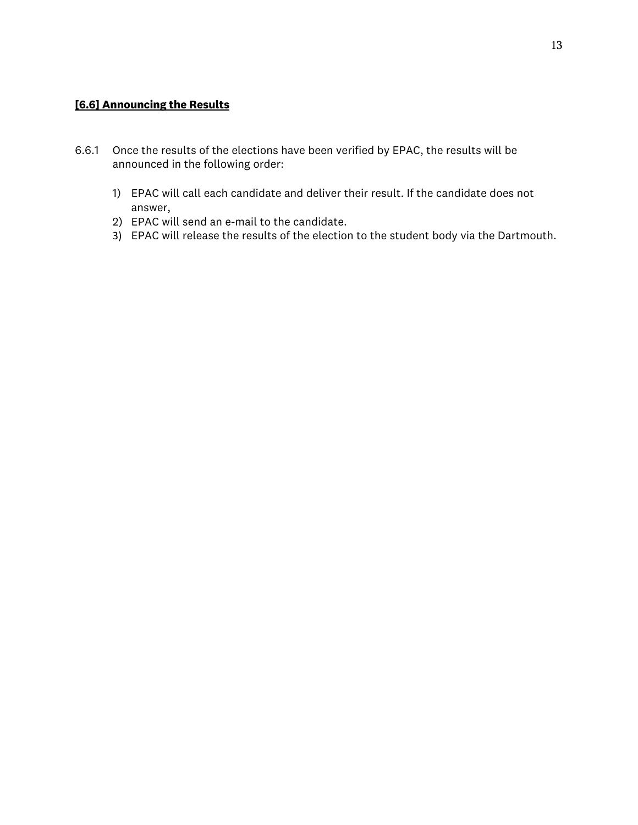#### **[6.6] Announcing the Results**

- 6.6.1 Once the results of the elections have been verified by EPAC, the results will be announced in the following order:
	- 1) EPAC will call each candidate and deliver their result. If the candidate does not answer,
	- 2) EPAC will send an e-mail to the candidate.
	- 3) EPAC will release the results of the election to the student body via the Dartmouth.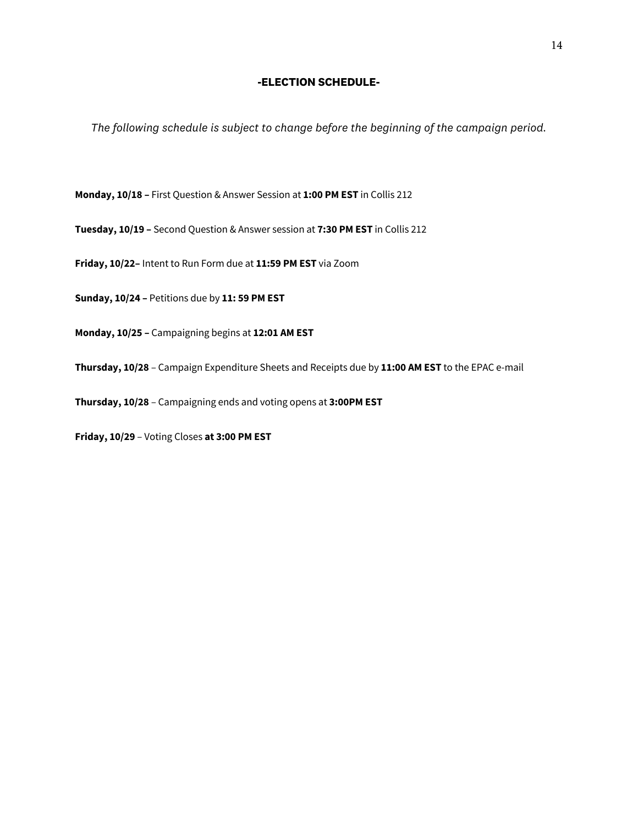#### **-ELECTION SCHEDULE-**

*The following schedule is subject to change before the beginning of the campaign period.*

**Monday, 10/18 –** First Question & Answer Session at **1:00 PM EST** in Collis 212

**Tuesday, 10/19 –** Second Question & Answer session at **7:30 PM EST** in Collis 212

**Friday, 10/22–** Intent to Run Form due at **11:59 PM EST** via Zoom

**Sunday, 10/24 –** Petitions due by **11: 59 PM EST**

**Monday, 10/25 –** Campaigning begins at **12:01 AM EST**

**Thursday, 10/28** – Campaign Expenditure Sheets and Receipts due by **11:00 AM EST** to the EPAC e-mail

**Thursday, 10/28** – Campaigning ends and voting opens at **3:00PM EST**

**Friday, 10/29** – Voting Closes **at 3:00 PM EST**